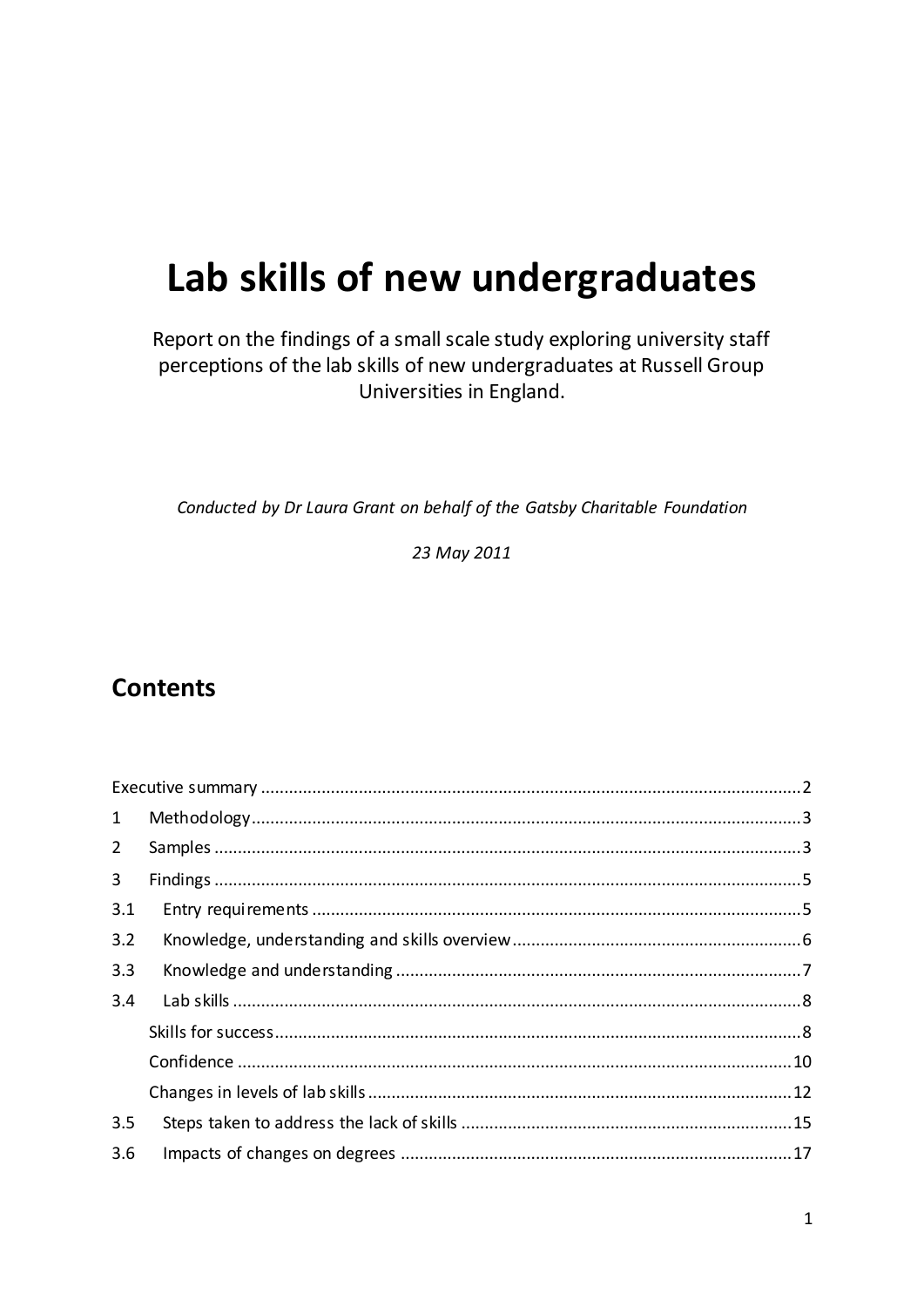# Lab skills of new undergraduates

Report on the findings of a small scale study exploring university staff perceptions of the lab skills of new undergraduates at Russell Group Universities in England.

Conducted by Dr Laura Grant on behalf of the Gatsby Charitable Foundation

23 May 2011

## **Contents**

| $\mathbf{1}$   |  |
|----------------|--|
| $2^{\circ}$    |  |
| $\overline{3}$ |  |
| 3.1            |  |
| 3.2            |  |
| 3.3            |  |
| 3.4            |  |
|                |  |
|                |  |
|                |  |
| 3.5            |  |
| 3.6            |  |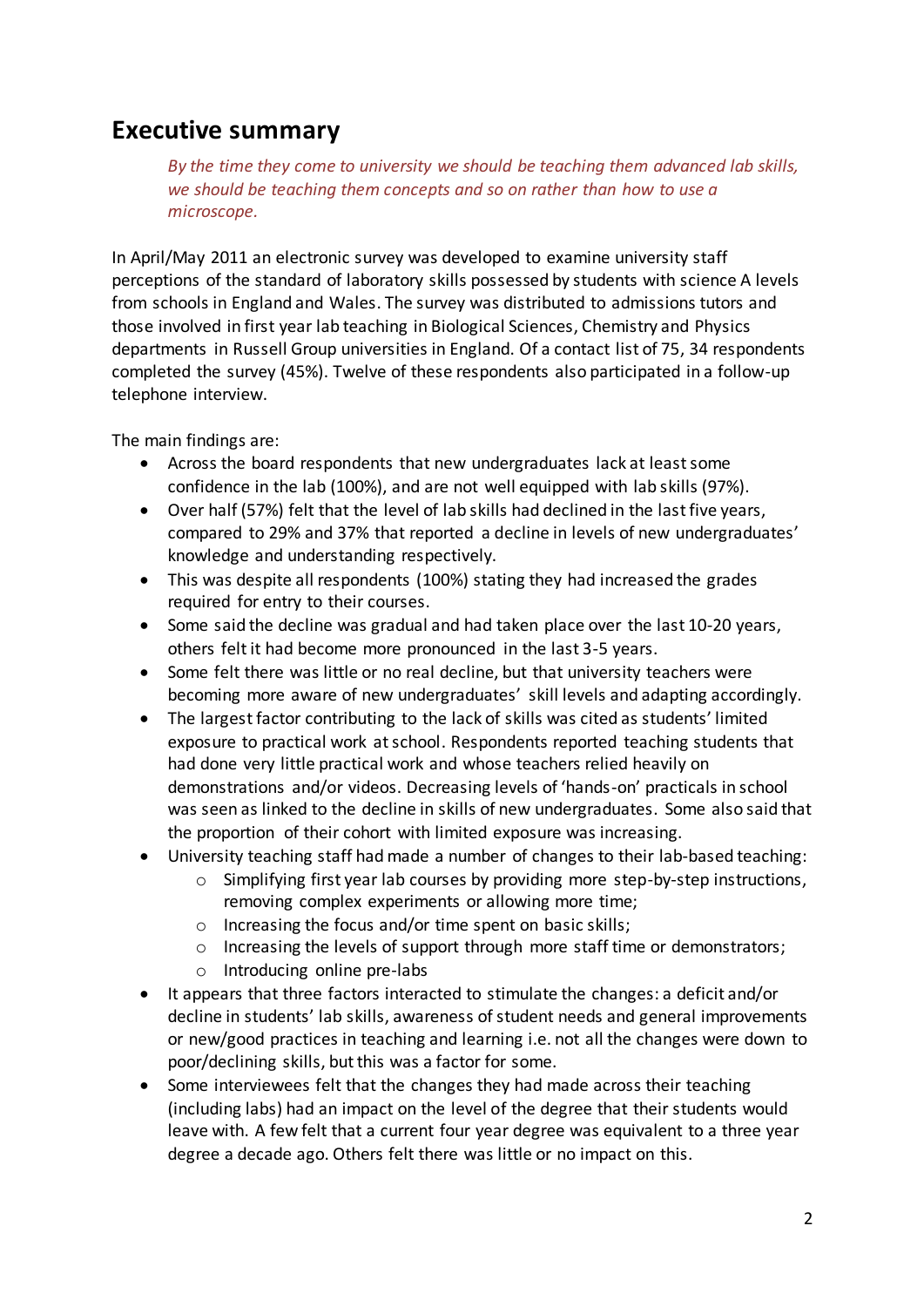## <span id="page-1-0"></span>**Executive summary**

*By the time they come to university we should be teaching them advanced lab skills, we should be teaching them concepts and so on rather than how to use a microscope.* 

In April/May 2011 an electronic survey was developed to examine university staff perceptions of the standard of laboratory skills possessed by students with science A levels from schools in England and Wales. The survey was distributed to admissions tutors and those involved in first year lab teaching in Biological Sciences, Chemistry and Physics departments in Russell Group universities in England. Of a contact list of 75, 34 respondents completed the survey (45%). Twelve of these respondents also participated in a follow-up telephone interview.

The main findings are:

- Across the board respondents that new undergraduates lack at least some confidence in the lab (100%), and are not well equipped with lab skills (97%).
- Over half (57%) felt that the level of lab skills had declined in the last five years, compared to 29% and 37% that reported a decline in levels of new undergraduates' knowledge and understanding respectively.
- This was despite all respondents (100%) stating they had increased the grades required for entry to their courses.
- Some said the decline was gradual and had taken place over the last 10-20 years, others felt it had become more pronounced in the last 3-5 years.
- Some felt there was little or no real decline, but that university teachers were becoming more aware of new undergraduates' skill levels and adapting accordingly.
- The largest factor contributing to the lack of skills was cited as students' limited exposure to practical work at school. Respondents reported teaching students that had done very little practical work and whose teachers relied heavily on demonstrations and/or videos. Decreasing levels of 'hands-on' practicals in school was seen as linked to the decline in skills of new undergraduates. Some also said that the proportion of their cohort with limited exposure was increasing.
- University teaching staff had made a number of changes to their lab-based teaching:
	- $\circ$  Simplifying first year lab courses by providing more step-by-step instructions, removing complex experiments or allowing more time;
	- o Increasing the focus and/or time spent on basic skills;
	- o Increasing the levels of support through more staff time or demonstrators;
	- o Introducing online pre-labs
- It appears that three factors interacted to stimulate the changes: a deficit and/or decline in students' lab skills, awareness of student needs and general improvements or new/good practices in teaching and learning i.e. not all the changes were down to poor/declining skills, but this was a factor for some.
- Some interviewees felt that the changes they had made across their teaching (including labs) had an impact on the level of the degree that their students would leave with. A few felt that a current four year degree was equivalent to a three year degree a decade ago. Others felt there was little or no impact on this.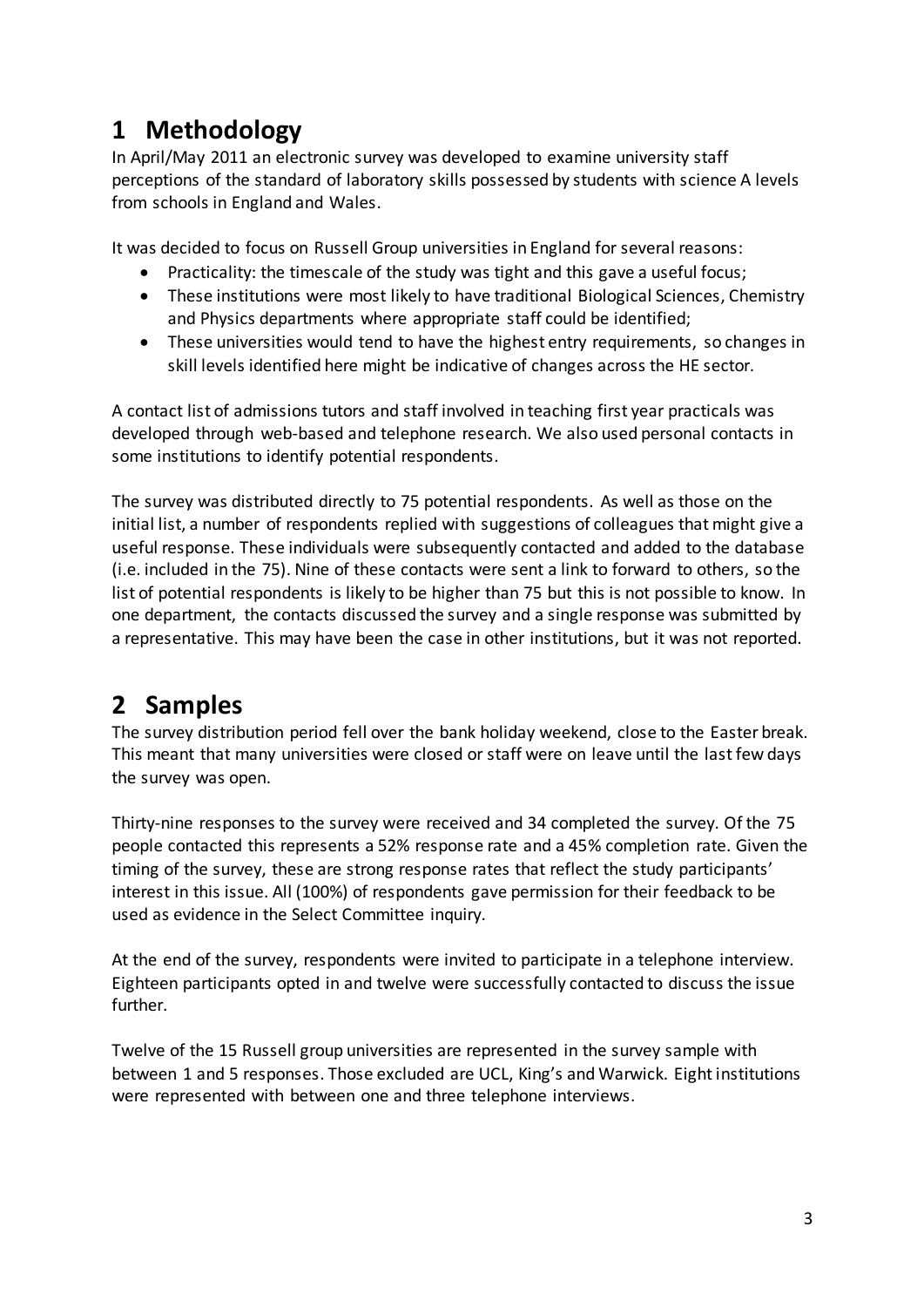# <span id="page-2-0"></span>**1 Methodology**

In April/May 2011 an electronic survey was developed to examine university staff perceptions of the standard of laboratory skills possessed by students with science A levels from schools in England and Wales.

It was decided to focus on Russell Group universities in England for several reasons:

- Practicality: the timescale of the study was tight and this gave a useful focus;
- These institutions were most likely to have traditional Biological Sciences, Chemistry and Physics departments where appropriate staff could be identified;
- These universities would tend to have the highest entry requirements, so changes in skill levels identified here might be indicative of changes across the HE sector.

A contact list of admissions tutors and staff involved in teaching first year practicals was developed through web-based and telephone research. We also used personal contacts in some institutions to identify potential respondents.

The survey was distributed directly to 75 potential respondents. As well as those on the initial list, a number of respondents replied with suggestions of colleagues that might give a useful response. These individuals were subsequently contacted and added to the database (i.e. included in the 75). Nine of these contacts were sent a link to forward to others, so the list of potential respondents is likely to be higher than 75 but this is not possible to know. In one department, the contacts discussed the survey and a single response was submitted by a representative. This may have been the case in other institutions, but it was not reported.

# <span id="page-2-1"></span>**2 Samples**

The survey distribution period fell over the bank holiday weekend, close to the Easter break. This meant that many universities were closed or staff were on leave until the last few days the survey was open.

Thirty-nine responses to the survey were received and 34 completed the survey. Of the 75 people contacted this represents a 52% response rate and a 45% completion rate. Given the timing of the survey, these are strong response rates that reflect the study participants' interest in this issue. All (100%) of respondents gave permission for their feedback to be used as evidence in the Select Committee inquiry.

At the end of the survey, respondents were invited to participate in a telephone interview. Eighteen participants opted in and twelve were successfully contacted to discuss the issue further.

Twelve of the 15 Russell group universities are represented in the survey sample with between 1 and 5 responses. Those excluded are UCL, King's and Warwick. Eight institutions were represented with between one and three telephone interviews.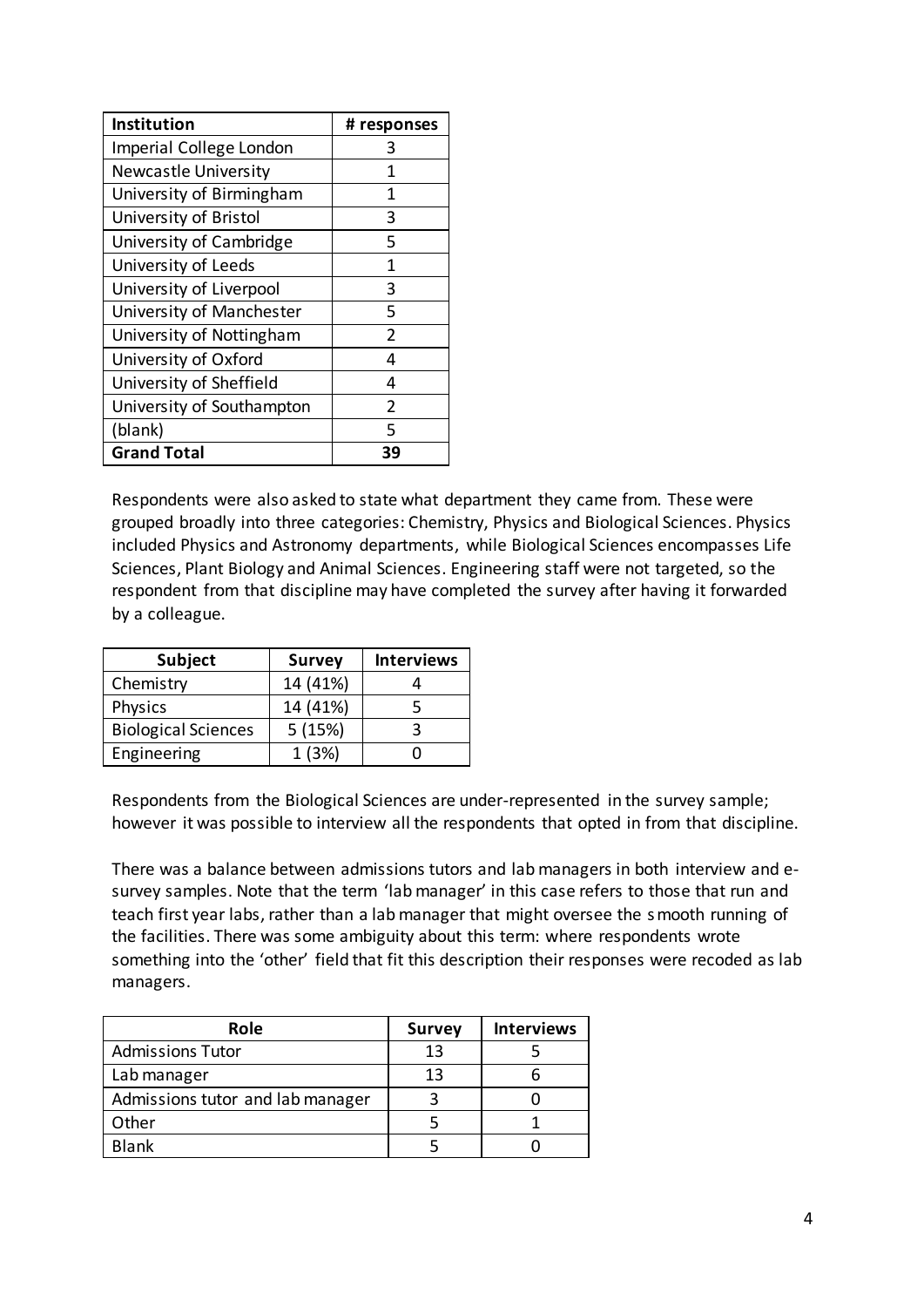| Institution                 | # responses   |
|-----------------------------|---------------|
| Imperial College London     |               |
| <b>Newcastle University</b> | 1             |
| University of Birmingham    | 1             |
| University of Bristol       | 3             |
| University of Cambridge     | 5             |
| University of Leeds         | 1             |
| University of Liverpool     | 3             |
| University of Manchester    | 5             |
| University of Nottingham    | 2             |
| University of Oxford        | 4             |
| University of Sheffield     | 4             |
| University of Southampton   | $\mathfrak z$ |
| (blank)                     | 5             |
| <b>Grand Total</b>          | Зd            |

Respondents were also asked to state what department they came from. These were grouped broadly into three categories: Chemistry, Physics and Biological Sciences. Physics included Physics and Astronomy departments, while Biological Sciences encompasses Life Sciences, Plant Biology and Animal Sciences. Engineering staff were not targeted, so the respondent from that discipline may have completed the survey after having it forwarded by a colleague.

| <b>Subject</b>             | <b>Survey</b> | <b>Interviews</b> |
|----------------------------|---------------|-------------------|
| Chemistry                  | 14 (41%)      |                   |
| Physics                    | 14 (41%)      |                   |
| <b>Biological Sciences</b> | 5(15%)        |                   |
| Engineering                | 1(3%)         |                   |

Respondents from the Biological Sciences are under-represented in the survey sample; however it was possible to interview all the respondents that opted in from that discipline.

There was a balance between admissions tutors and lab managers in both interview and esurvey samples. Note that the term 'lab manager' in this case refers to those that run and teach first year labs, rather than a lab manager that might oversee the smooth running of the facilities. There was some ambiguity about this term: where respondents wrote something into the 'other' field that fit this description their responses were recoded as lab managers.

| Role                             | <b>Survey</b> | <b>Interviews</b> |
|----------------------------------|---------------|-------------------|
| <b>Admissions Tutor</b>          | 13            |                   |
| Lab manager                      | 13            |                   |
| Admissions tutor and lab manager |               |                   |
| Other                            |               |                   |
| <b>Blank</b>                     |               |                   |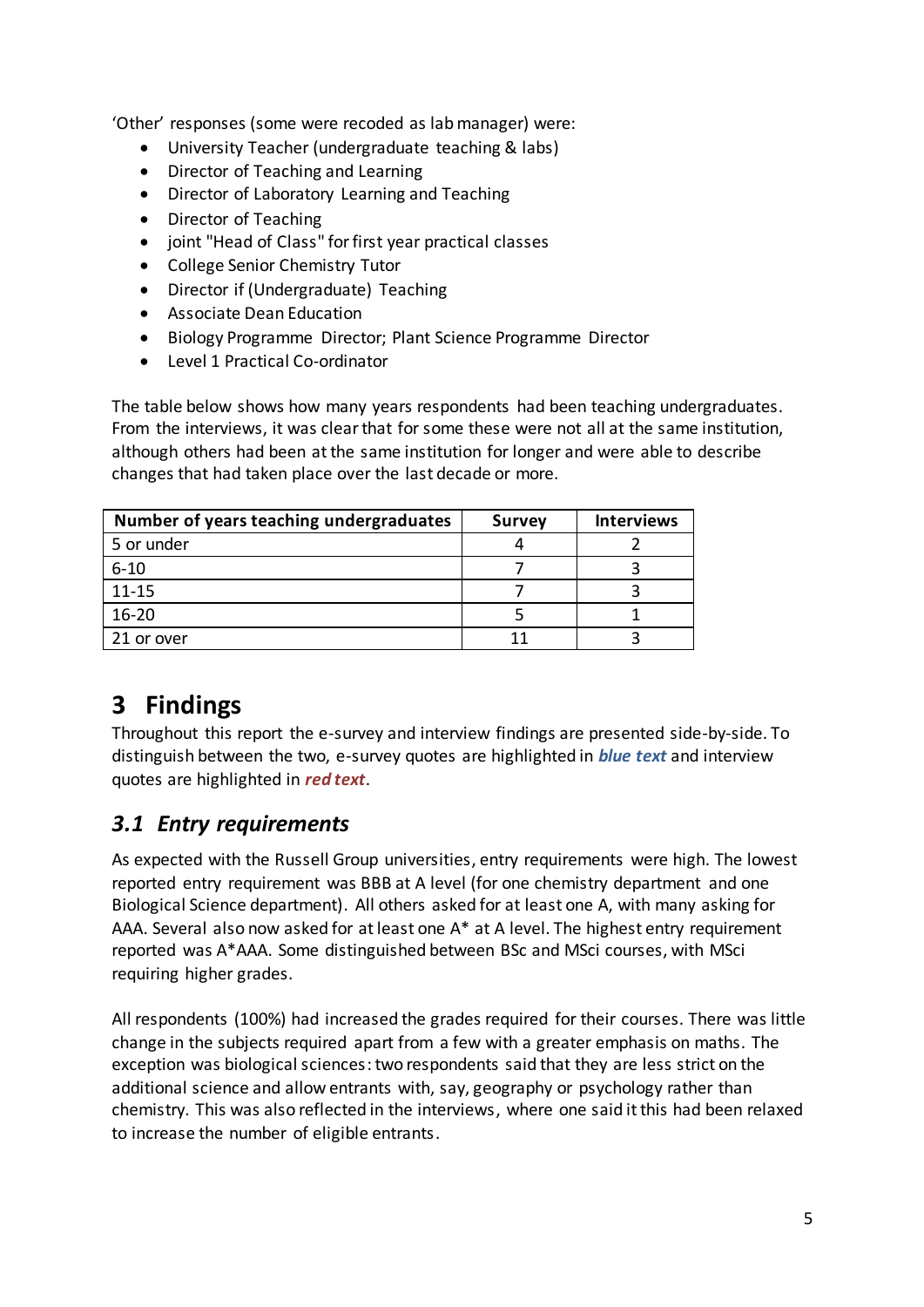'Other' responses (some were recoded as lab manager) were:

- University Teacher (undergraduate teaching & labs)
- Director of Teaching and Learning
- Director of Laboratory Learning and Teaching
- Director of Teaching
- joint "Head of Class" for first year practical classes
- College Senior Chemistry Tutor
- Director if (Undergraduate) Teaching
- Associate Dean Education
- Biology Programme Director; Plant Science Programme Director
- Level 1 Practical Co-ordinator

The table below shows how many years respondents had been teaching undergraduates. From the interviews, it was clear that for some these were not all at the same institution, although others had been at the same institution for longer and were able to describe changes that had taken place over the last decade or more.

| Number of years teaching undergraduates | <b>Survey</b> | <b>Interviews</b> |
|-----------------------------------------|---------------|-------------------|
| 5 or under                              |               |                   |
| $6 - 10$                                |               |                   |
| $11 - 15$                               |               |                   |
| $16 - 20$                               |               |                   |
| 21 or over                              |               |                   |

# <span id="page-4-0"></span>**3 Findings**

Throughout this report the e-survey and interview findings are presented side-by-side. To distinguish between the two, e-survey quotes are highlighted in *blue text* and interview quotes are highlighted in *red text*.

## <span id="page-4-1"></span>*3.1 Entry requirements*

As expected with the Russell Group universities, entry requirements were high. The lowest reported entry requirement was BBB at A level (for one chemistry department and one Biological Science department). All others asked for at least one A, with many asking for AAA. Several also now asked for at least one A\* at A level. The highest entry requirement reported was A\*AAA. Some distinguished between BSc and MSci courses, with MSci requiring higher grades.

All respondents (100%) had increased the grades required for their courses. There was little change in the subjects required apart from a few with a greater emphasis on maths. The exception was biological sciences: two respondents said that they are less strict on the additional science and allow entrants with, say, geography or psychology rather than chemistry. This was also reflected in the interviews, where one said it this had been relaxed to increase the number of eligible entrants.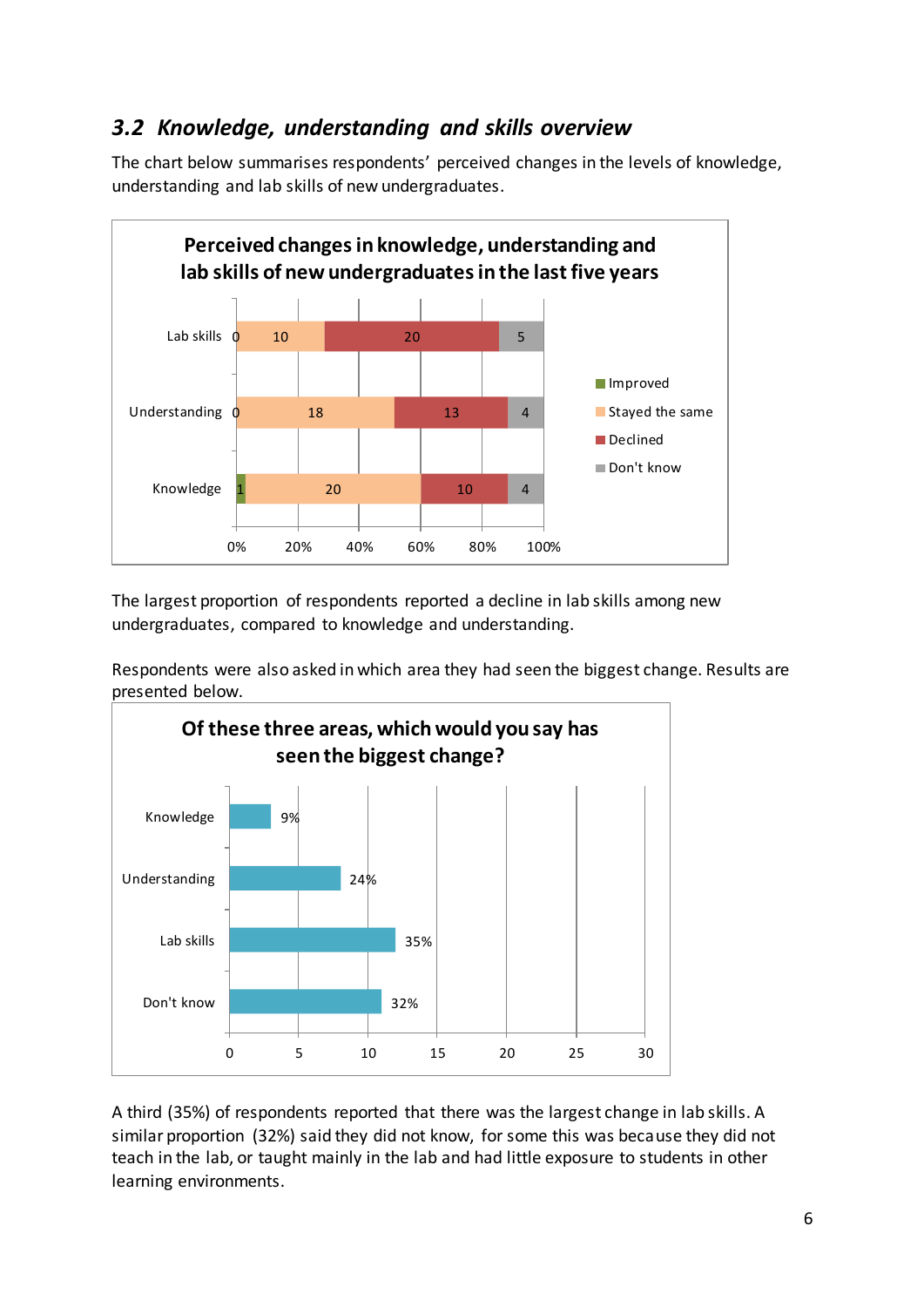## <span id="page-5-0"></span>*3.2 Knowledge, understanding and skills overview*

The chart below summarises respondents' perceived changes in the levels of knowledge, understanding and lab skills of new undergraduates.



The largest proportion of respondents reported a decline in lab skills among new undergraduates, compared to knowledge and understanding.

Respondents were also asked in which area they had seen the biggest change. Results are presented below.



A third (35%) of respondents reported that there was the largest change in lab skills. A similar proportion (32%) said they did not know, for some this was because they did not teach in the lab, or taught mainly in the lab and had little exposure to students in other learning environments.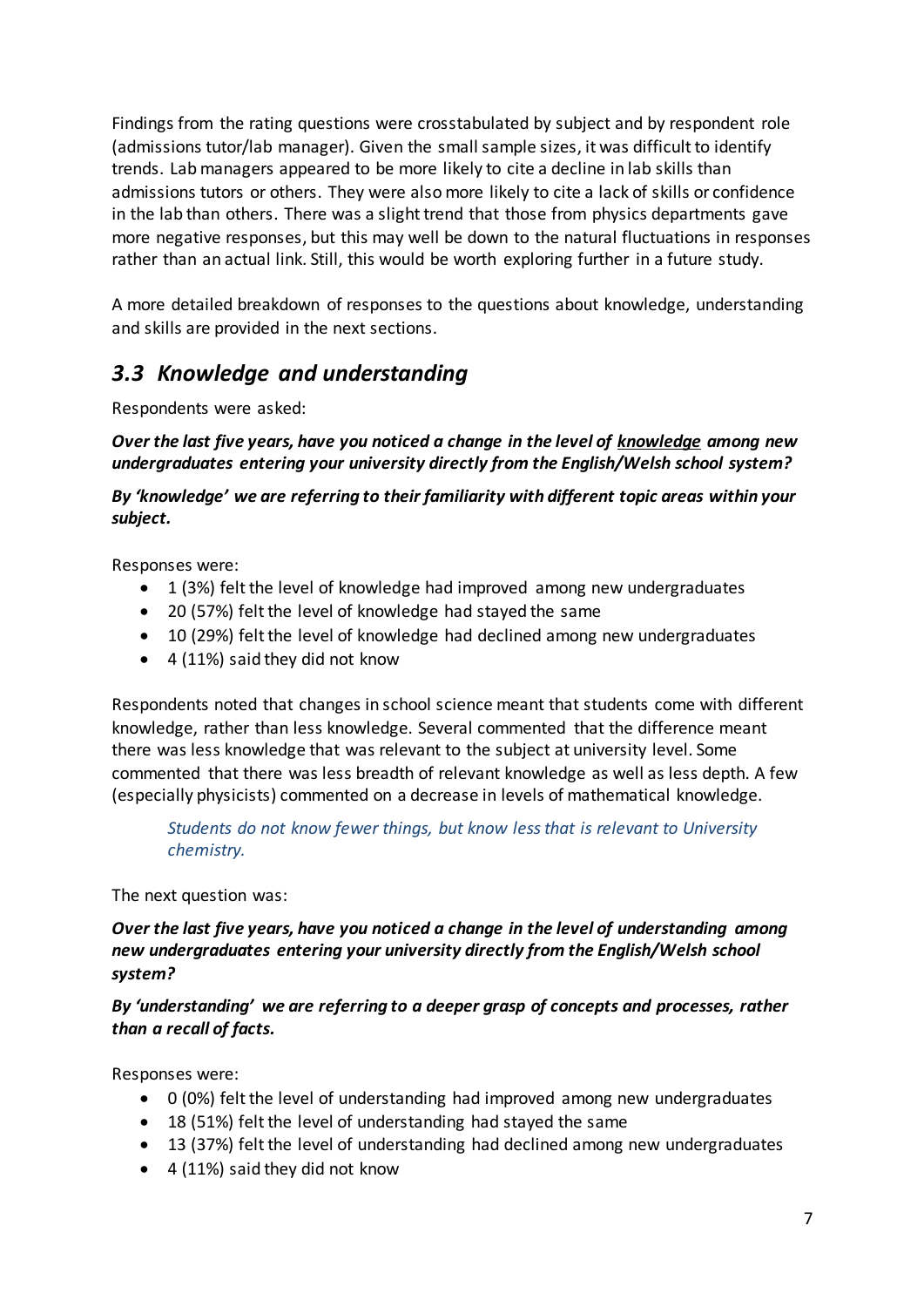Findings from the rating questions were crosstabulated by subject and by respondent role (admissions tutor/lab manager). Given the small sample sizes, it was difficult to identify trends. Lab managers appeared to be more likely to cite a decline in lab skills than admissions tutors or others. They were also more likely to cite a lack of skills or confidence in the lab than others. There was a slight trend that those from physics departments gave more negative responses, but this may well be down to the natural fluctuations in responses rather than an actual link. Still, this would be worth exploring further in a future study.

A more detailed breakdown of responses to the questions about knowledge, understanding and skills are provided in the next sections.

## <span id="page-6-0"></span>*3.3 Knowledge and understanding*

Respondents were asked:

*Over the last five years, have you noticed a change in the level of knowledge among new undergraduates entering your university directly from the English/Welsh school system?* 

*By 'knowledge' we are referring to their familiarity with different topic areas within your subject.*

Responses were:

- 1 (3%) felt the level of knowledge had improved among new undergraduates
- 20 (57%) felt the level of knowledge had stayed the same
- 10 (29%) felt the level of knowledge had declined among new undergraduates
- $\bullet$  4 (11%) said they did not know

Respondents noted that changes in school science meant that students come with different knowledge, rather than less knowledge. Several commented that the difference meant there was less knowledge that was relevant to the subject at university level. Some commented that there was less breadth of relevant knowledge as well as less depth. A few (especially physicists) commented on a decrease in levels of mathematical knowledge.

*Students do not know fewer things, but know less that is relevant to University chemistry.* 

The next question was:

*Over the last five years, have you noticed a change in the level of understanding among new undergraduates entering your university directly from the English/Welsh school system?* 

*By 'understanding' we are referring to a deeper grasp of concepts and processes, rather than a recall of facts.*

Responses were:

- 0 (0%) felt the level of understanding had improved among new undergraduates
- 18 (51%) felt the level of understanding had stayed the same
- 13 (37%) felt the level of understanding had declined among new undergraduates
- $\bullet$  4 (11%) said they did not know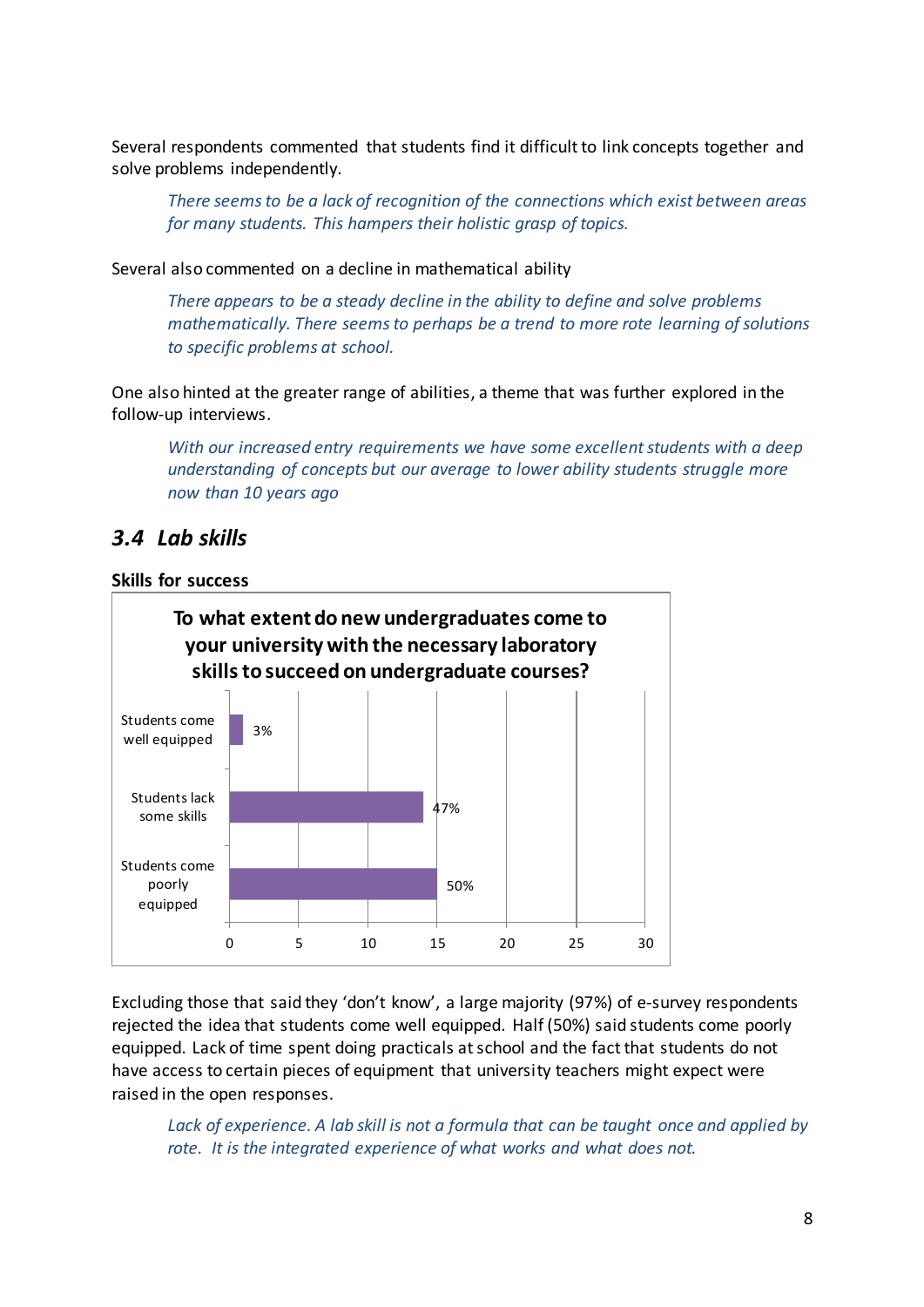Several respondents commented that students find it difficult to link concepts together and solve problems independently.

*There seems to be a lack of recognition of the connections which exist between areas for many students. This hampers their holistic grasp of topics.*

Several also commented on a decline in mathematical ability

*There appears to be a steady decline in the ability to define and solve problems mathematically. There seems to perhaps be a trend to more rote learning of solutions to specific problems at school.*

One also hinted at the greater range of abilities, a theme that was further explored in the follow-up interviews.

*With our increased entry requirements we have some excellent students with a deep understanding of concepts but our average to lower ability students struggle more now than 10 years ago*

#### <span id="page-7-0"></span>*3.4 Lab skills*

#### <span id="page-7-1"></span>**Skills for success**



Excluding those that said they 'don't know', a large majority (97%) of e-survey respondents rejected the idea that students come well equipped. Half (50%) said students come poorly equipped. Lack of time spent doing practicals at school and the fact that students do not have access to certain pieces of equipment that university teachers might expect were raised in the open responses.

*Lack of experience. A lab skill is not a formula that can be taught once and applied by rote. It is the integrated experience of what works and what does not.*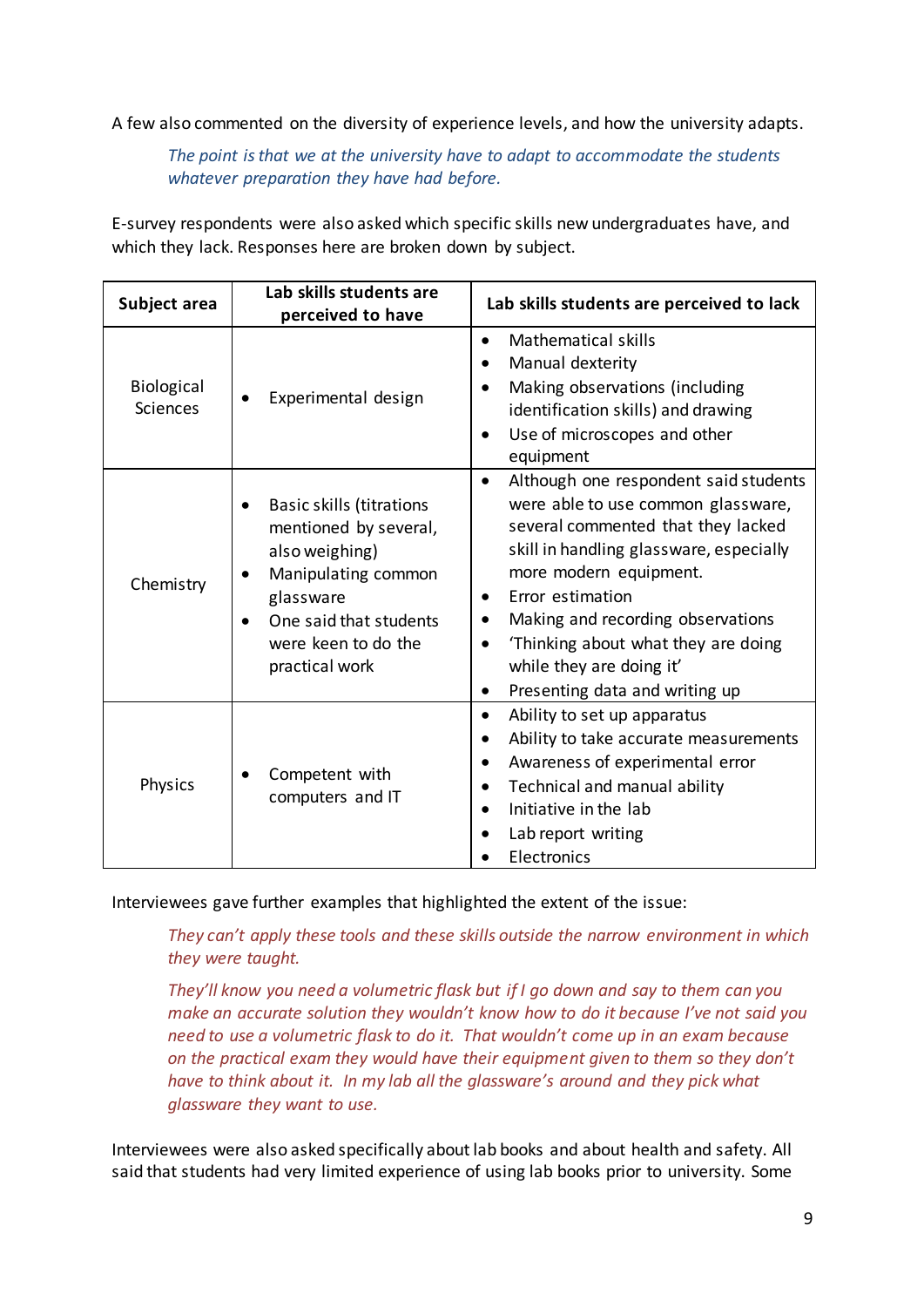A few also commented on the diversity of experience levels, and how the university adapts.

*The point is that we at the university have to adapt to accommodate the students whatever preparation they have had before.*

E-survey respondents were also asked which specific skills new undergraduates have, and which they lack. Responses here are broken down by subject.

| Subject area                  | Lab skills students are<br>perceived to have                                                                                                                                      | Lab skills students are perceived to lack                                                                                                                                                                                                                                                                                                                                                       |
|-------------------------------|-----------------------------------------------------------------------------------------------------------------------------------------------------------------------------------|-------------------------------------------------------------------------------------------------------------------------------------------------------------------------------------------------------------------------------------------------------------------------------------------------------------------------------------------------------------------------------------------------|
| Biological<br><b>Sciences</b> | Experimental design                                                                                                                                                               | <b>Mathematical skills</b><br>$\bullet$<br>Manual dexterity<br>$\bullet$<br>Making observations (including<br>$\bullet$<br>identification skills) and drawing<br>Use of microscopes and other<br>$\bullet$<br>equipment                                                                                                                                                                         |
| Chemistry                     | <b>Basic skills (titrations</b><br>mentioned by several,<br>also weighing)<br>Manipulating common<br>glassware<br>One said that students<br>were keen to do the<br>practical work | Although one respondent said students<br>$\bullet$<br>were able to use common glassware,<br>several commented that they lacked<br>skill in handling glassware, especially<br>more modern equipment.<br>Error estimation<br>٠<br>Making and recording observations<br>$\bullet$<br>Thinking about what they are doing<br>while they are doing it'<br>Presenting data and writing up<br>$\bullet$ |
| Physics                       | Competent with<br>computers and IT                                                                                                                                                | Ability to set up apparatus<br>$\bullet$<br>Ability to take accurate measurements<br>Awareness of experimental error<br>$\bullet$<br>Technical and manual ability<br>Initiative in the lab<br>Lab report writing<br>Electronics                                                                                                                                                                 |

Interviewees gave further examples that highlighted the extent of the issue:

*They can't apply these tools and these skills outside the narrow environment in which they were taught.* 

*They'll know you need a volumetric flask but if I go down and say to them can you make an accurate solution they wouldn't know how to do it because I've not said you need to use a volumetric flask to do it. That wouldn't come up in an exam because on the practical exam they would have their equipment given to them so they don't have to think about it. In my lab all the glassware's around and they pick what glassware they want to use.* 

Interviewees were also asked specifically about lab books and about health and safety. All said that students had very limited experience of using lab books prior to university. Some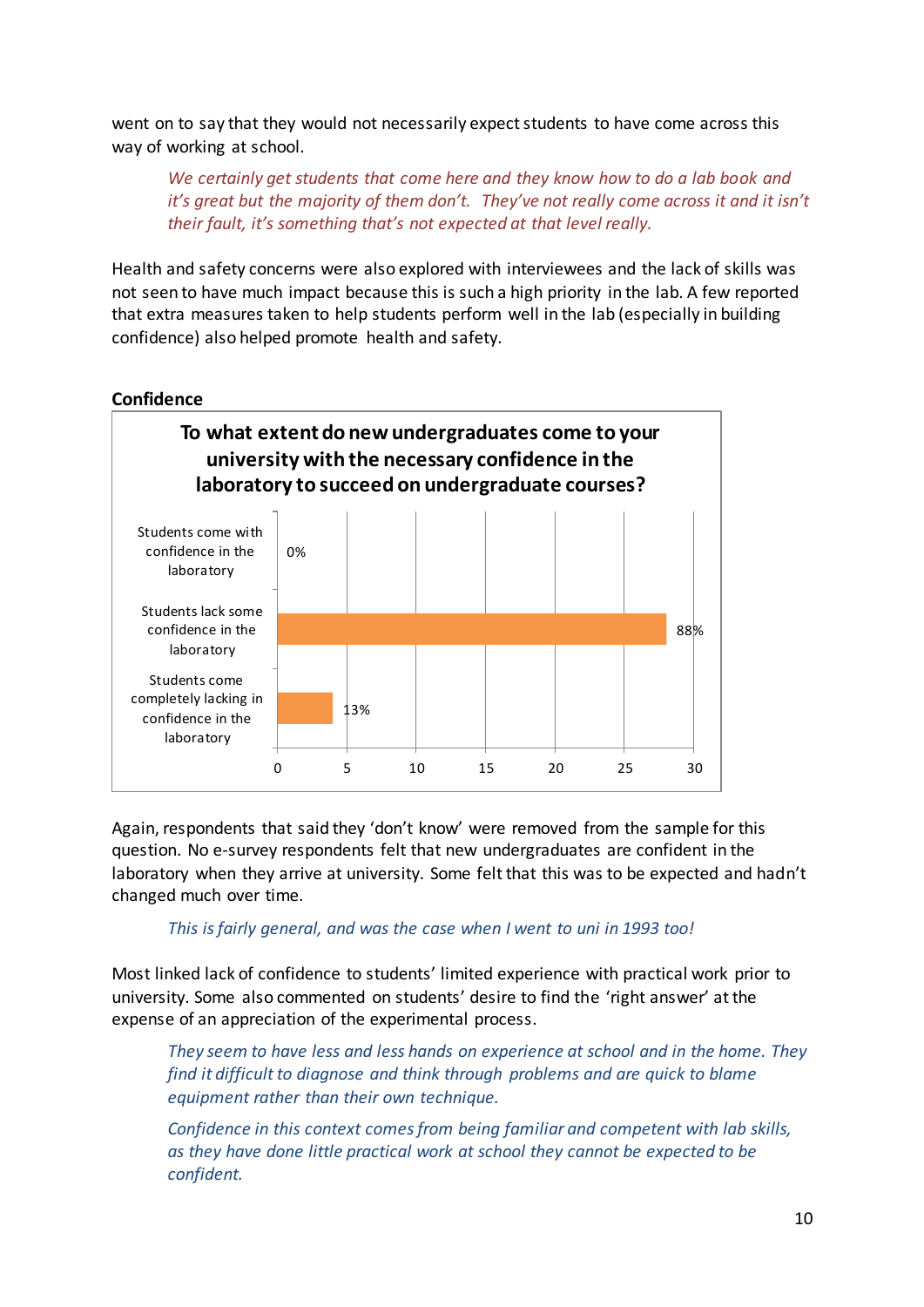went on to say that they would not necessarily expect students to have come across this way of working at school.

*We certainly get students that come here and they know how to do a lab book and it's great but the majority of them don't. They've not really come across it and it isn't their fault, it's something that's not expected at that level really.*

Health and safety concerns were also explored with interviewees and the lack of skills was not seen to have much impact because this is such a high priority in the lab. A few reported that extra measures taken to help students perform well in the lab (especially in building confidence) also helped promote health and safety.

#### <span id="page-9-0"></span>**Confidence**



Again, respondents that said they 'don't know' were removed from the sample for this question. No e-survey respondents felt that new undergraduates are confident in the laboratory when they arrive at university. Some felt that this was to be expected and hadn't changed much over time.

#### *This is fairly general, and was the case when I went to uni in 1993 too!*

Most linked lack of confidence to students' limited experience with practical work prior to university. Some also commented on students' desire to find the 'right answer' at the expense of an appreciation of the experimental process.

*They seem to have less and less hands on experience at school and in the home. They find it difficult to diagnose and think through problems and are quick to blame equipment rather than their own technique.*

*Confidence in this context comes from being familiar and competent with lab skills, as they have done little practical work at school they cannot be expected to be confident.*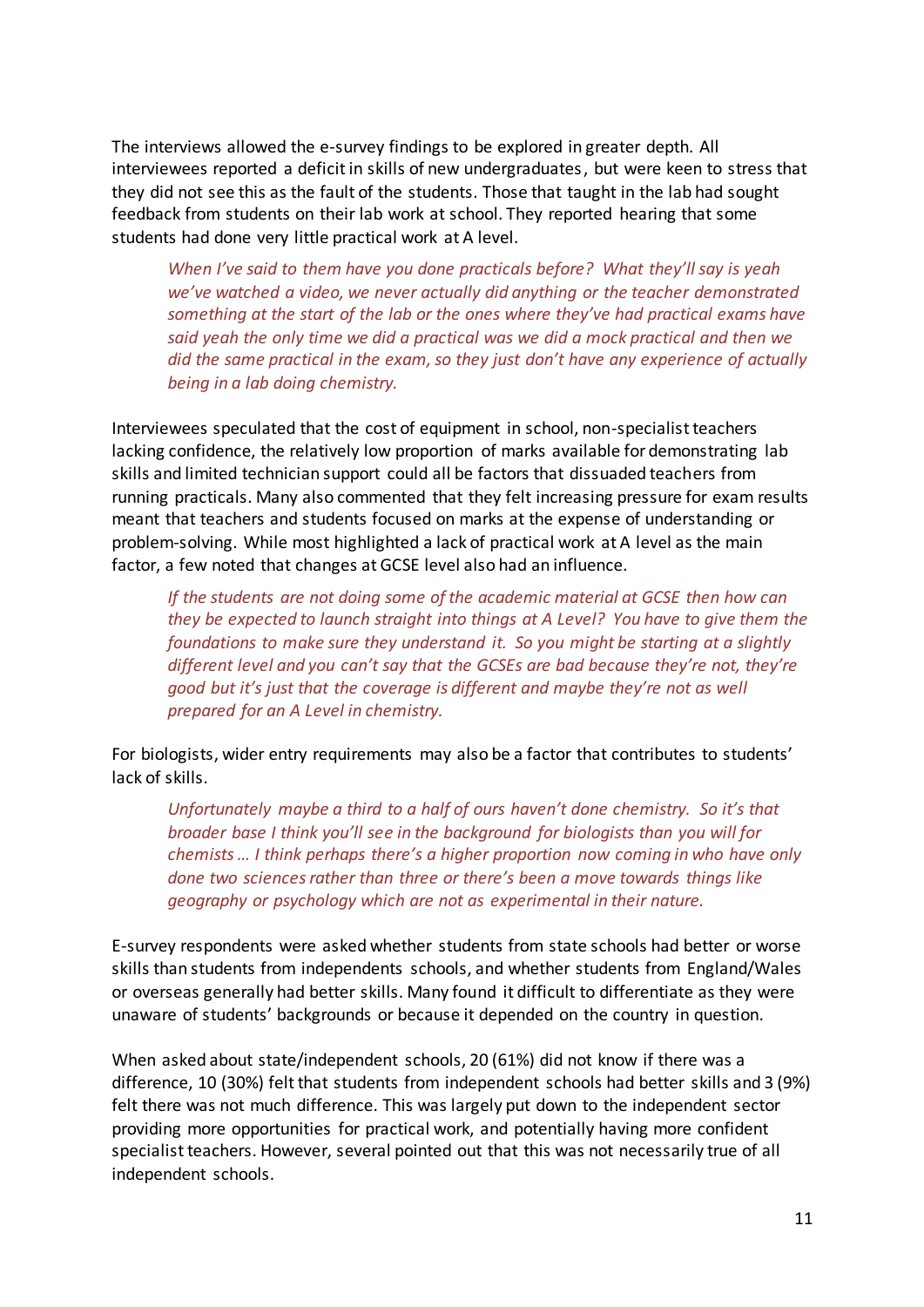The interviews allowed the e-survey findings to be explored in greater depth. All interviewees reported a deficit in skills of new undergraduates, but were keen to stress that they did not see this as the fault of the students. Those that taught in the lab had sought feedback from students on their lab work at school. They reported hearing that some students had done very little practical work at A level.

*When I've said to them have you done practicals before? What they'll say is yeah we've watched a video, we never actually did anything or the teacher demonstrated something at the start of the lab or the ones where they've had practical exams have said yeah the only time we did a practical was we did a mock practical and then we did the same practical in the exam, so they just don't have any experience of actually being in a lab doing chemistry.* 

Interviewees speculated that the cost of equipment in school, non-specialist teachers lacking confidence, the relatively low proportion of marks available for demonstrating lab skills and limited technician support could all be factors that dissuaded teachers from running practicals. Many also commented that they felt increasing pressure for exam results meant that teachers and students focused on marks at the expense of understanding or problem-solving. While most highlighted a lack of practical work at A level as the main factor, a few noted that changes at GCSE level also had an influence.

*If the students are not doing some of the academic material at GCSE then how can they be expected to launch straight into things at A Level? You have to give them the foundations to make sure they understand it. So you might be starting at a slightly different level and you can't say that the GCSEs are bad because they're not, they're good but it's just that the coverage is different and maybe they're not as well prepared for an A Level in chemistry.*

For biologists, wider entry requirements may also be a factor that contributes to students' lack of skills.

*Unfortunately maybe a third to a half of ours haven't done chemistry. So it's that broader base I think you'll see in the background for biologists than you will for chemists … I think perhaps there's a higher proportion now coming in who have only done two sciences rather than three or there's been a move towards things like geography or psychology which are not as experimental in their nature.*

E-survey respondents were asked whether students from state schools had better or worse skills than students from independents schools, and whether students from England/Wales or overseas generally had better skills. Many found it difficult to differentiate as they were unaware of students' backgrounds or because it depended on the country in question.

When asked about state/independent schools, 20 (61%) did not know if there was a difference, 10 (30%) felt that students from independent schools had better skills and 3 (9%) felt there was not much difference. This was largely put down to the independent sector providing more opportunities for practical work, and potentially having more confident specialist teachers. However, several pointed out that this was not necessarily true of all independent schools.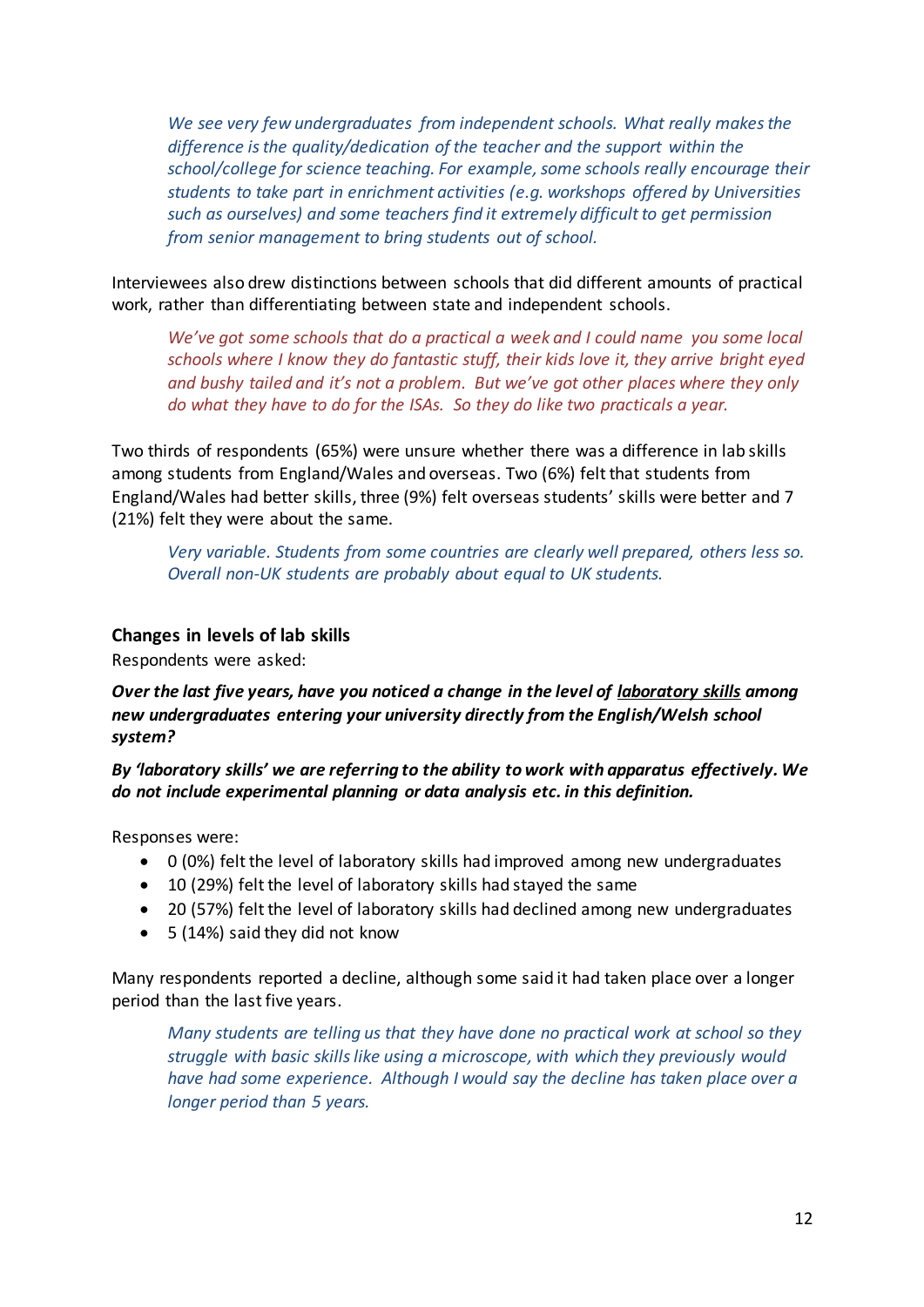We see very few undergraduates from independent schools. What really makes the *difference is the quality/dedication of the teacher and the support within the school/college for science teaching. For example, some schools really encourage their students to take part in enrichment activities (e.g. workshops offered by Universities such as ourselves) and some teachers find it extremely difficult to get permission from senior management to bring students out of school.* 

Interviewees also drew distinctions between schools that did different amounts of practical work, rather than differentiating between state and independent schools.

*We've got some schools that do a practical a week and I could name you some local schools where I know they do fantastic stuff, their kids love it, they arrive bright eyed and bushy tailed and it's not a problem. But we've got other places where they only do what they have to do for the ISAs. So they do like two practicals a year.*

Two thirds of respondents (65%) were unsure whether there was a difference in lab skills among students from England/Wales and overseas. Two (6%) felt that students from England/Wales had better skills, three (9%) felt overseas students' skills were better and 7 (21%) felt they were about the same.

*Very variable. Students from some countries are clearly well prepared, others less so. Overall non-UK students are probably about equal to UK students.*

#### <span id="page-11-0"></span>**Changes in levels of lab skills**

Respondents were asked:

#### *Over the last five years, have you noticed a change in the level of laboratory skills among new undergraduates entering your university directly from the English/Welsh school system?*

*By 'laboratory skills' we are referring to the ability to work with apparatus effectively. We do not include experimental planning or data analysis etc. in this definition.*

Responses were:

- 0 (0%) felt the level of laboratory skills had improved among new undergraduates
- 10 (29%) felt the level of laboratory skills had stayed the same
- 20 (57%) felt the level of laboratory skills had declined among new undergraduates
- 5 (14%) said they did not know

Many respondents reported a decline, although some said it had taken place over a longer period than the last five years.

*Many students are telling us that they have done no practical work at school so they struggle with basic skills like using a microscope, with which they previously would have had some experience. Although I would say the decline has taken place over a longer period than 5 years.*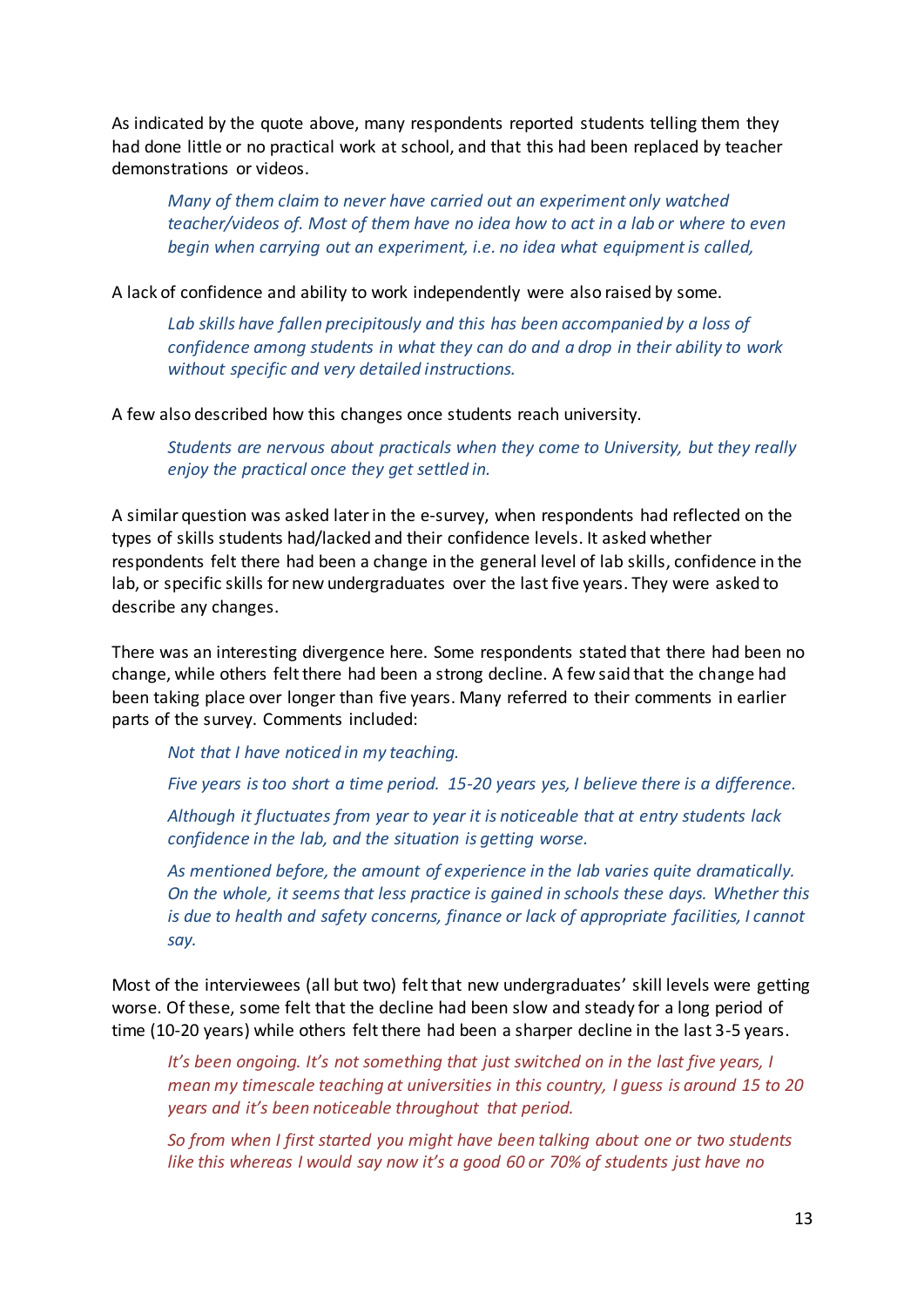As indicated by the quote above, many respondents reported students telling them they had done little or no practical work at school, and that this had been replaced by teacher demonstrations or videos.

*Many of them claim to never have carried out an experiment only watched teacher/videos of. Most of them have no idea how to act in a lab or where to even begin when carrying out an experiment, i.e. no idea what equipment is called,*

A lack of confidence and ability to work independently were also raised by some.

*Lab skills have fallen precipitously and this has been accompanied by a loss of confidence among students in what they can do and a drop in their ability to work without specific and very detailed instructions.* 

A few also described how this changes once students reach university.

*Students are nervous about practicals when they come to University, but they really enjoy the practical once they get settled in.*

A similar question was asked later in the e-survey, when respondents had reflected on the types of skills students had/lacked and their confidence levels. It asked whether respondents felt there had been a change in the general level of lab skills, confidence in the lab, or specific skills for new undergraduates over the last five years. They were asked to describe any changes.

There was an interesting divergence here. Some respondents stated that there had been no change, while others felt there had been a strong decline. A few said that the change had been taking place over longer than five years. Many referred to their comments in earlier parts of the survey. Comments included:

*Not that I have noticed in my teaching.*

*Five years is too short a time period. 15-20 years yes, I believe there is a difference.*

*Although it fluctuates from year to year it is noticeable that at entry students lack confidence in the lab, and the situation is getting worse.*

*As mentioned before, the amount of experience in the lab varies quite dramatically. On the whole, it seems that less practice is gained in schools these days. Whether this is due to health and safety concerns, finance or lack of appropriate facilities, I cannot say.*

Most of the interviewees (all but two) felt that new undergraduates' skill levels were getting worse. Of these, some felt that the decline had been slow and steady for a long period of time (10-20 years) while others felt there had been a sharper decline in the last 3-5 years.

*It's been ongoing. It's not something that just switched on in the last five years, I mean my timescale teaching at universities in this country, I guess is around 15 to 20 years and it's been noticeable throughout that period.*

*So from when I first started you might have been talking about one or two students like this whereas I would say now it's a good 60 or 70% of students just have no*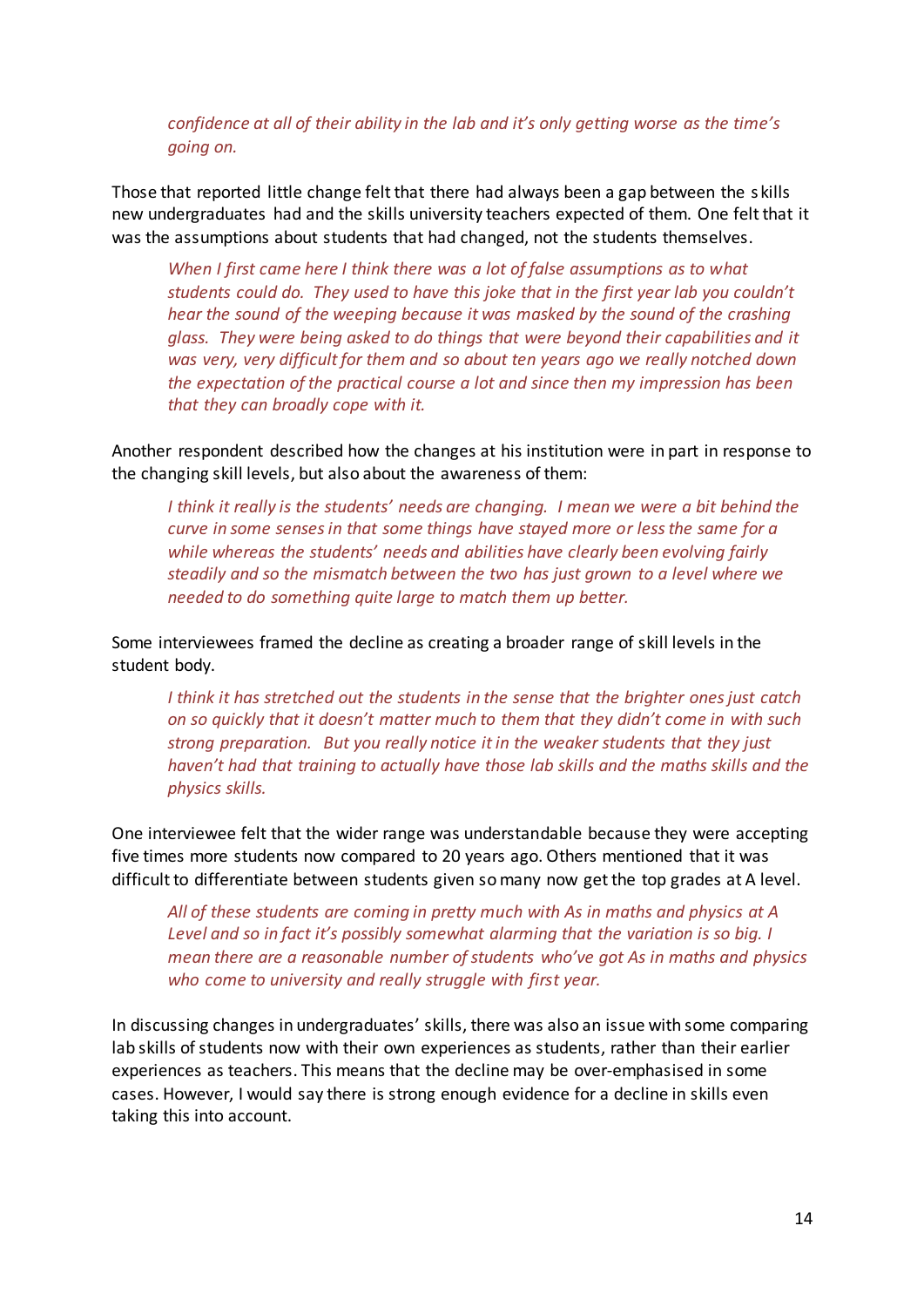*confidence at all of their ability in the lab and it's only getting worse as the time's going on.*

Those that reported little change felt that there had always been a gap between the s kills new undergraduates had and the skills university teachers expected of them. One felt that it was the assumptions about students that had changed, not the students themselves.

*When I first came here I think there was a lot of false assumptions as to what students could do. They used to have this joke that in the first year lab you couldn't hear the sound of the weeping because it was masked by the sound of the crashing glass. They were being asked to do things that were beyond their capabilities and it was very, very difficult for them and so about ten years ago we really notched down the expectation of the practical course a lot and since then my impression has been that they can broadly cope with it.*

Another respondent described how the changes at his institution were in part in response to the changing skill levels, but also about the awareness of them:

*I think it really is the students' needs are changing. I mean we were a bit behind the curve in some senses in that some things have stayed more or less the same for a while whereas the students' needs and abilities have clearly been evolving fairly steadily and so the mismatch between the two has just grown to a level where we needed to do something quite large to match them up better.* 

Some interviewees framed the decline as creating a broader range of skill levels in the student body.

*I think it has stretched out the students in the sense that the brighter ones just catch on so quickly that it doesn't matter much to them that they didn't come in with such strong preparation. But you really notice it in the weaker students that they just haven't had that training to actually have those lab skills and the maths skills and the physics skills.* 

One interviewee felt that the wider range was understandable because they were accepting five times more students now compared to 20 years ago. Others mentioned that it was difficult to differentiate between students given so many now get the top grades at A level.

*All of these students are coming in pretty much with As in maths and physics at A Level and so in fact it's possibly somewhat alarming that the variation is so big. I mean there are a reasonable number of students who've got As in maths and physics who come to university and really struggle with first year.* 

In discussing changes in undergraduates' skills, there was also an issue with some comparing lab skills of students now with their own experiences as students, rather than their earlier experiences as teachers. This means that the decline may be over-emphasised in some cases. However, I would say there is strong enough evidence for a decline in skills even taking this into account.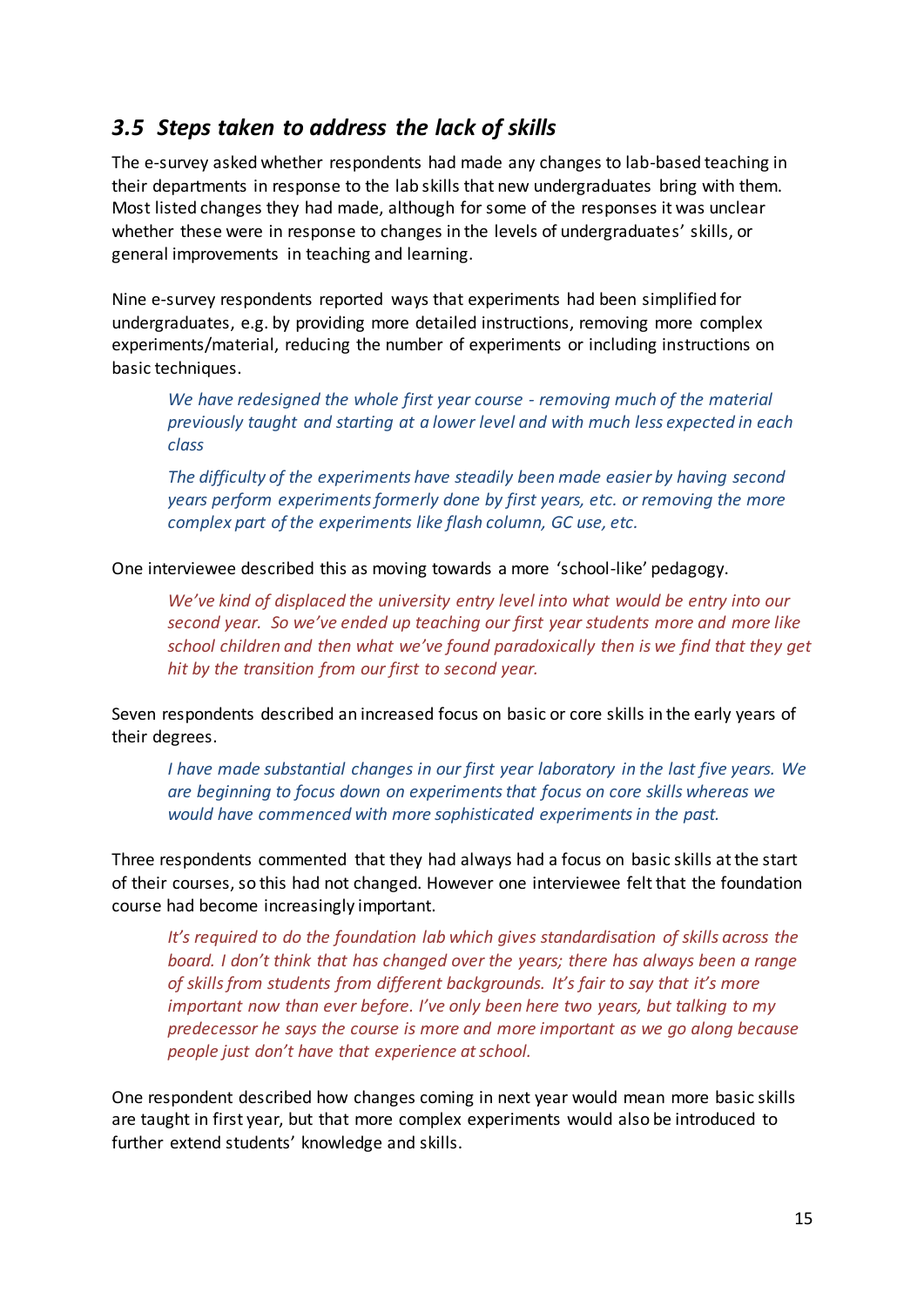### <span id="page-14-0"></span>*3.5 Steps taken to address the lack of skills*

The e-survey asked whether respondents had made any changes to lab-based teaching in their departments in response to the lab skills that new undergraduates bring with them. Most listed changes they had made, although for some of the responses it was unclear whether these were in response to changes in the levels of undergraduates' skills, or general improvements in teaching and learning.

Nine e-survey respondents reported ways that experiments had been simplified for undergraduates, e.g. by providing more detailed instructions, removing more complex experiments/material, reducing the number of experiments or including instructions on basic techniques.

*We have redesigned the whole first year course - removing much of the material previously taught and starting at a lower level and with much less expected in each class*

*The difficulty of the experiments have steadily been made easier by having second years perform experiments formerly done by first years, etc. or removing the more complex part of the experiments like flash column, GC use, etc.*

One interviewee described this as moving towards a more 'school-like' pedagogy.

*We've kind of displaced the university entry level into what would be entry into our second year. So we've ended up teaching our first year students more and more like school children and then what we've found paradoxically then is we find that they get hit by the transition from our first to second year.* 

Seven respondents described an increased focus on basic or core skills in the early years of their degrees.

*I have made substantial changes in our first year laboratory in the last five years. We are beginning to focus down on experiments that focus on core skills whereas we would have commenced with more sophisticated experiments in the past.* 

Three respondents commented that they had always had a focus on basic skills at the start of their courses, so this had not changed. However one interviewee felt that the foundation course had become increasingly important.

*It's required to do the foundation lab which gives standardisation of skills across the board. I don't think that has changed over the years; there has always been a range of skills from students from different backgrounds. It's fair to say that it's more important now than ever before. I've only been here two years, but talking to my predecessor he says the course is more and more important as we go along because people just don't have that experience at school.*

One respondent described how changes coming in next year would mean more basic skills are taught in first year, but that more complex experiments would also be introduced to further extend students' knowledge and skills.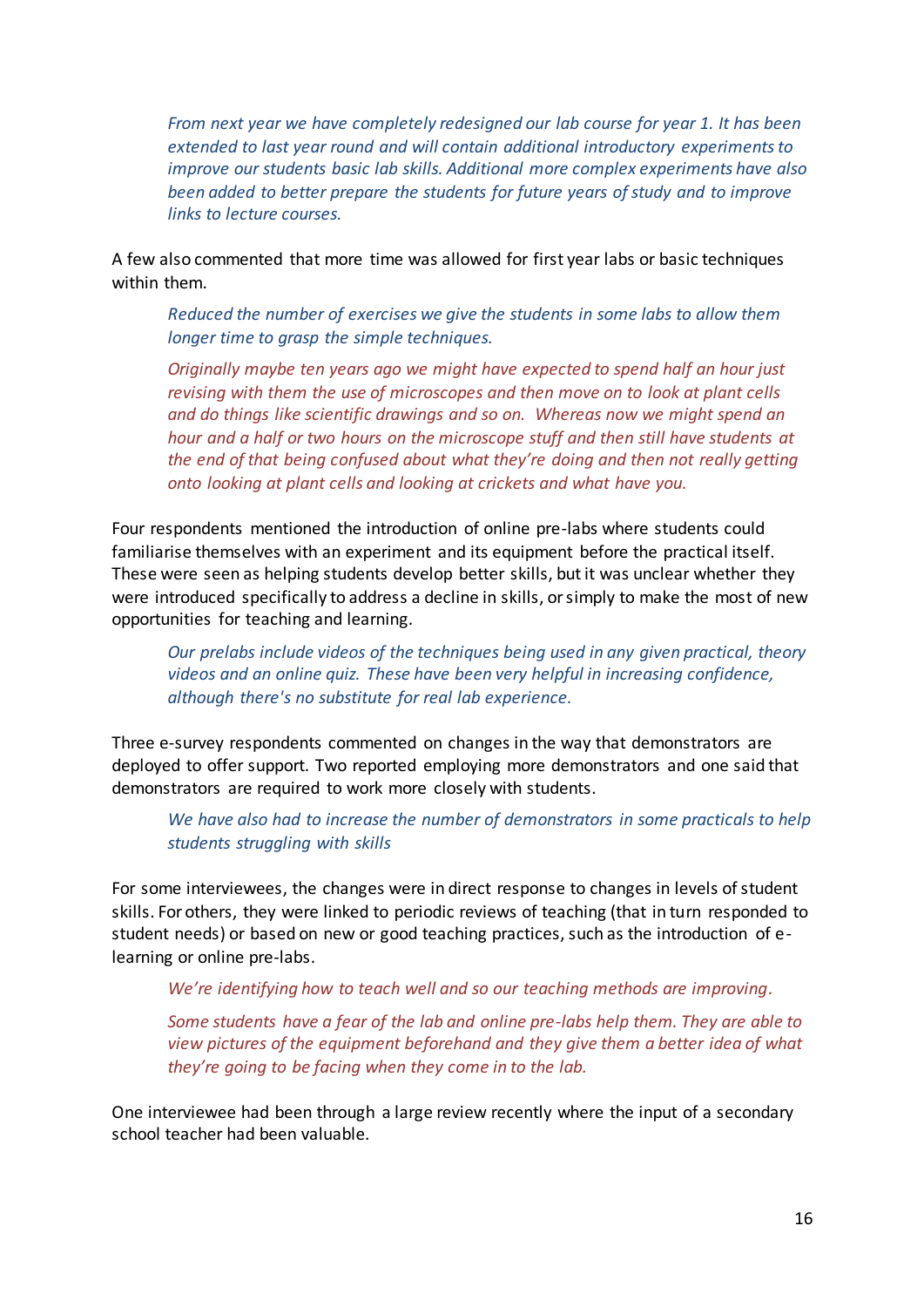*From next year we have completely redesigned our lab course for year 1. It has been extended to last year round and will contain additional introductory experiments to improve our students basic lab skills. Additional more complex experiments have also been added to better prepare the students for future years of study and to improve links to lecture courses.*

A few also commented that more time was allowed for first year labs or basic techniques within them.

*Reduced the number of exercises we give the students in some labs to allow them longer time to grasp the simple techniques.* 

*Originally maybe ten years ago we might have expected to spend half an hour just revising with them the use of microscopes and then move on to look at plant cells and do things like scientific drawings and so on. Whereas now we might spend an hour and a half or two hours on the microscope stuff and then still have students at the end of that being confused about what they're doing and then not really getting onto looking at plant cells and looking at crickets and what have you.*

Four respondents mentioned the introduction of online pre-labs where students could familiarise themselves with an experiment and its equipment before the practical itself. These were seen as helping students develop better skills, but it was unclear whether they were introduced specifically to address a decline in skills, or simply to make the most of new opportunities for teaching and learning.

*Our prelabs include videos of the techniques being used in any given practical, theory videos and an online quiz. These have been very helpful in increasing confidence, although there's no substitute for real lab experience.*

Three e-survey respondents commented on changes in the way that demonstrators are deployed to offer support. Two reported employing more demonstrators and one said that demonstrators are required to work more closely with students.

*We have also had to increase the number of demonstrators in some practicals to help students struggling with skills*

For some interviewees, the changes were in direct response to changes in levels of student skills. For others, they were linked to periodic reviews of teaching (that in turn responded to student needs) or based on new or good teaching practices, such as the introduction of elearning or online pre-labs.

*We're identifying how to teach well and so our teaching methods are improving.*

*Some students have a fear of the lab and online pre-labs help them. They are able to view pictures of the equipment beforehand and they give them a better idea of what they're going to be facing when they come in to the lab.* 

One interviewee had been through a large review recently where the input of a secondary school teacher had been valuable.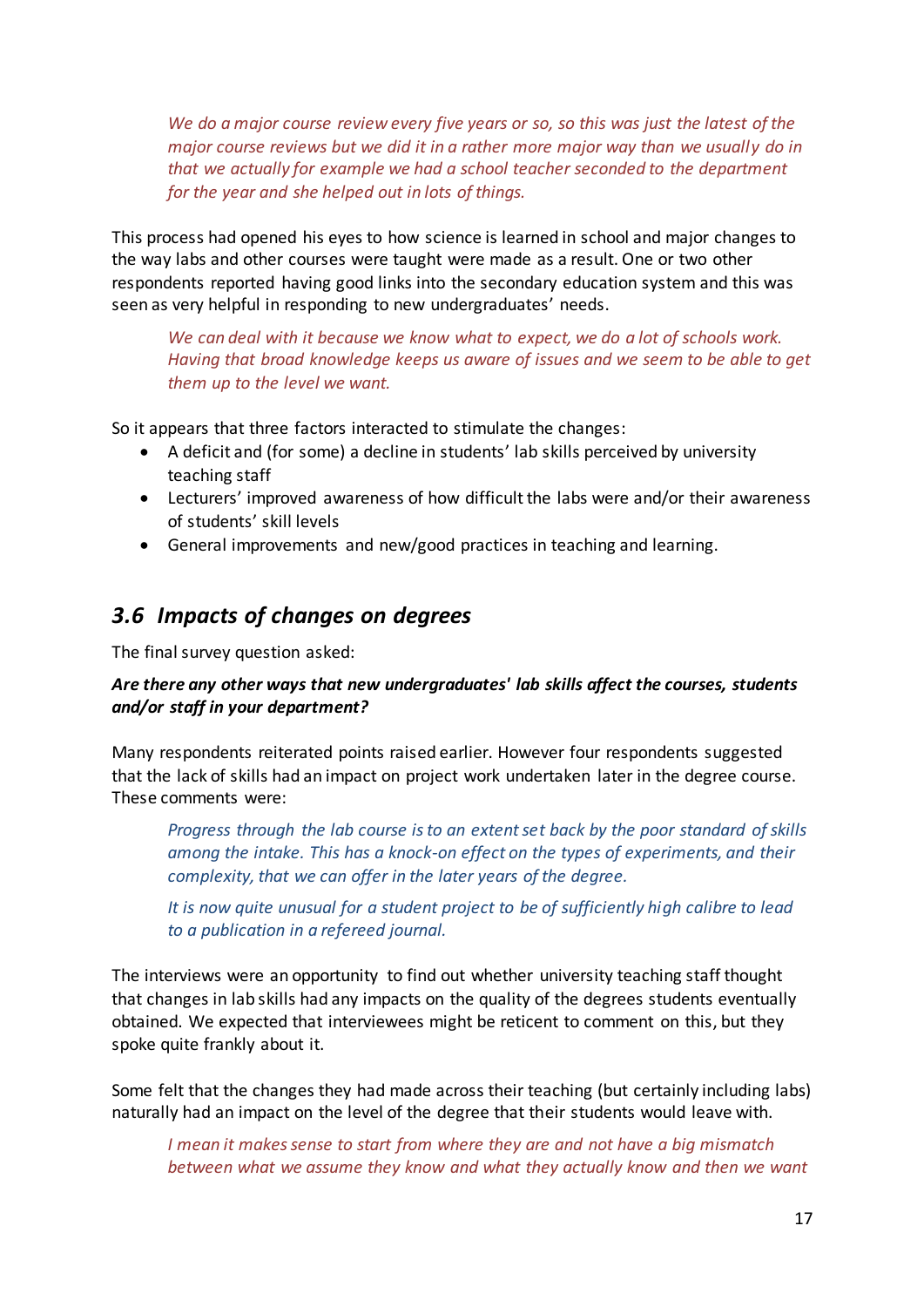*We do a major course review every five years or so, so this was just the latest of the major course reviews but we did it in a rather more major way than we usually do in that we actually for example we had a school teacher seconded to the department for the year and she helped out in lots of things.* 

This process had opened his eyes to how science is learned in school and major changes to the way labs and other courses were taught were made as a result. One or two other respondents reported having good links into the secondary education system and this was seen as very helpful in responding to new undergraduates' needs.

*We can deal with it because we know what to expect, we do a lot of schools work. Having that broad knowledge keeps us aware of issues and we seem to be able to get them up to the level we want.*

So it appears that three factors interacted to stimulate the changes:

- A deficit and (for some) a decline in students' lab skills perceived by university teaching staff
- Lecturers' improved awareness of how difficult the labs were and/or their awareness of students' skill levels
- General improvements and new/good practices in teaching and learning.

#### <span id="page-16-0"></span>*3.6 Impacts of changes on degrees*

The final survey question asked:

#### *Are there any other ways that new undergraduates' lab skills affect the courses, students and/or staff in your department?*

Many respondents reiterated points raised earlier. However four respondents suggested that the lack of skills had an impact on project work undertaken later in the degree course. These comments were:

*Progress through the lab course is to an extent set back by the poor standard of skills among the intake. This has a knock-on effect on the types of experiments, and their complexity, that we can offer in the later years of the degree.*

*It is now quite unusual for a student project to be of sufficiently high calibre to lead to a publication in a refereed journal.*

The interviews were an opportunity to find out whether university teaching staff thought that changes in lab skills had any impacts on the quality of the degrees students eventually obtained. We expected that interviewees might be reticent to comment on this, but they spoke quite frankly about it.

Some felt that the changes they had made across their teaching (but certainly including labs) naturally had an impact on the level of the degree that their students would leave with.

*I mean it makes sense to start from where they are and not have a big mismatch between what we assume they know and what they actually know and then we want*